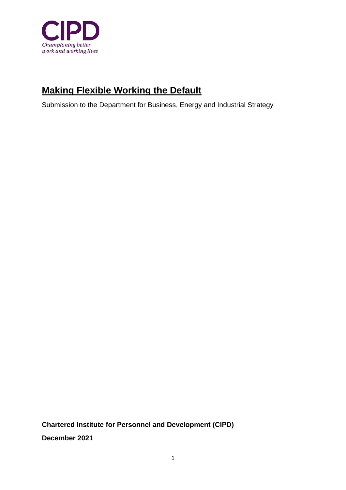

# **Making Flexible Working the Default**

Submission to the Department for Business, Energy and Industrial Strategy

**Chartered Institute for Personnel and Development (CIPD) December 2021**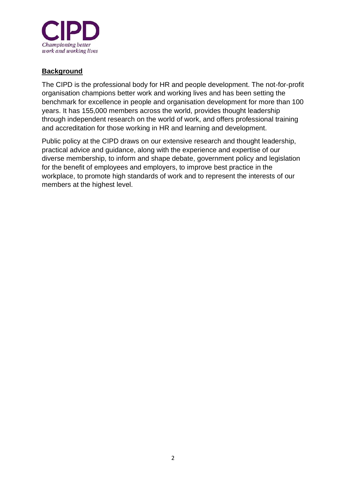

## **Background**

The CIPD is the professional body for HR and people development. The not-for-profit organisation champions better work and working lives and has been setting the benchmark for excellence in people and organisation development for more than 100 years. It has 155,000 members across the world, provides thought leadership through independent research on the world of work, and offers professional training and accreditation for those working in HR and learning and development.

Public policy at the CIPD draws on our extensive research and thought leadership, practical advice and guidance, along with the experience and expertise of our diverse membership, to inform and shape debate, government policy and legislation for the benefit of employees and employers, to improve best practice in the workplace, to promote high standards of work and to represent the interests of our members at the highest level.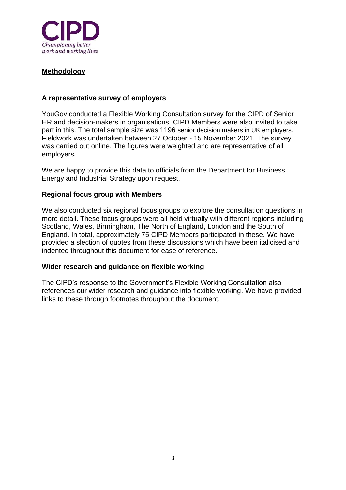

### **Methodology**

#### **A representative survey of employers**

YouGov conducted a Flexible Working Consultation survey for the CIPD of Senior HR and decision-makers in organisations. CIPD Members were also invited to take part in this. The total sample size was 1196 senior decision makers in UK employers. Fieldwork was undertaken between 27 October - 15 November 2021. The survey was carried out online. The figures were weighted and are representative of all employers.

We are happy to provide this data to officials from the Department for Business, Energy and Industrial Strategy upon request.

#### **Regional focus group with Members**

We also conducted six regional focus groups to explore the consultation questions in more detail. These focus groups were all held virtually with different regions including Scotland, Wales, Birmingham, The North of England, London and the South of England. In total, approximately 75 CIPD Members participated in these. We have provided a slection of quotes from these discussions which have been italicised and indented throughout this document for ease of reference.

#### **Wider research and guidance on flexible working**

The CIPD's response to the Government's Flexible Working Consultation also references our wider research and guidance into flexible working. We have provided links to these through footnotes throughout the document.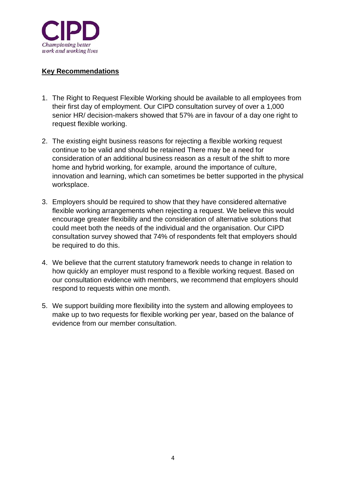

## **Key Recommendations**

- 1. The Right to Request Flexible Working should be available to all employees from their first day of employment. Our CIPD consultation survey of over a 1,000 senior HR/ decision-makers showed that 57% are in favour of a day one right to request flexible working.
- 2. The existing eight business reasons for rejecting a flexible working request continue to be valid and should be retained There may be a need for consideration of an additional business reason as a result of the shift to more home and hybrid working, for example, around the importance of culture, innovation and learning, which can sometimes be better supported in the physical worksplace.
- 3. Employers should be required to show that they have considered alternative flexible working arrangements when rejecting a request. We believe this would encourage greater flexibility and the consideration of alternative solutions that could meet both the needs of the individual and the organisation. Our CIPD consultation survey showed that 74% of respondents felt that employers should be required to do this.
- 4. We believe that the current statutory framework needs to change in relation to how quickly an employer must respond to a flexible working request. Based on our consultation evidence with members, we recommend that employers should respond to requests within one month.
- 5. We support building more flexibility into the system and allowing employees to make up to two requests for flexible working per year, based on the balance of evidence from our member consultation.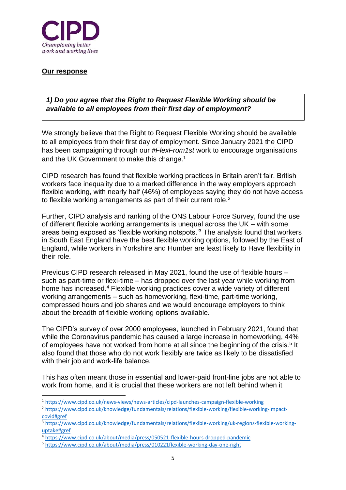

#### **Our response**

*1) Do you agree that the Right to Request Flexible Working should be available to all employees from their first day of employment?* 

We strongly believe that the Right to Request Flexible Working should be available to all employees from their first day of employment. Since January 2021 the CIPD has been campaigning through our *#FlexFrom1st* work to encourage organisations and the UK Government to make this change.<sup>1</sup>

CIPD research has found that flexible working practices in Britain aren't fair. British workers face inequality due to a marked difference in the way employers approach flexible working, with nearly half (46%) of employees saying they do not have access to flexible working arrangements as part of their current role.<sup>2</sup>

Further, CIPD analysis and ranking of the ONS Labour Force Survey, found the use of different flexible working arrangements is unequal across the UK – with some areas being exposed as 'flexible working notspots.'<sup>3</sup> The analysis found that workers in South East England have the best flexible working options, followed by the East of England, while workers in Yorkshire and Humber are least likely to Have flexibility in their role.

Previous CIPD research released in May 2021, found the use of flexible hours – such as part-time or flexi-time – has dropped over the last year while working from home has increased.<sup>4</sup> Flexible working practices cover a wide variety of different working arrangements – such as homeworking, flexi-time, part-time working, compressed hours and job shares and we would encourage employers to think about the breadth of flexible working options available.

The CIPD's survey of over 2000 employees, launched in February 2021, found that while the Coronavirus pandemic has caused a large increase in homeworking, 44% of employees have not worked from home at all since the beginning of the crisis.<sup>5</sup> It also found that those who do not work flexibly are twice as likely to be dissatisfied with their job and work-life balance.

This has often meant those in essential and lower-paid front-line jobs are not able to work from home, and it is crucial that these workers are not left behind when it

<sup>1</sup> <https://www.cipd.co.uk/news-views/news-articles/cipd-launches-campaign-flexible-working>

<sup>2</sup> [https://www.cipd.co.uk/knowledge/fundamentals/relations/flexible-working/flexible-working-impact](https://www.cipd.co.uk/knowledge/fundamentals/relations/flexible-working/flexible-working-impact-covid#gref)[covid#gref](https://www.cipd.co.uk/knowledge/fundamentals/relations/flexible-working/flexible-working-impact-covid#gref)

<sup>3</sup> [https://www.cipd.co.uk/knowledge/fundamentals/relations/flexible-working/uk-regions-flexible-working](https://www.cipd.co.uk/knowledge/fundamentals/relations/flexible-working/uk-regions-flexible-working-uptake#gref)[uptake#gref](https://www.cipd.co.uk/knowledge/fundamentals/relations/flexible-working/uk-regions-flexible-working-uptake#gref)

<sup>4</sup> <https://www.cipd.co.uk/about/media/press/050521-flexible-hours-dropped-pandemic>

<sup>5</sup> <https://www.cipd.co.uk/about/media/press/010221flexible-working-day-one-right>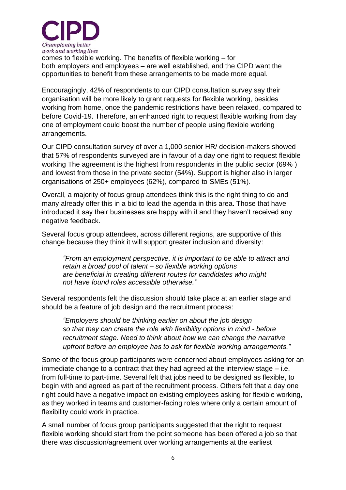

comes to flexible working. The benefits of flexible working – for both [employers](https://www.cipd.co.uk/Images/flex-from-first-benefits-to-employers_tcm18-90031.pdf) and [employees](https://www.cipd.co.uk/Images/flex-from-first-benefits-to-employees_tcm18-90030.pdf) – are well established, and the CIPD want the opportunities to benefit from these arrangements to be made more equal.

Encouragingly, 42% of respondents to our CIPD consultation survey say their organisation will be more likely to grant requests for flexible working, besides working from home, once the pandemic restrictions have been relaxed, compared to before Covid-19. Therefore, an enhanced right to request flexible working from day one of employment could boost the number of people using flexible working arrangements.

Our CIPD consultation survey of over a 1,000 senior HR/ decision-makers showed that 57% of respondents surveyed are in favour of a day one right to request flexible working The agreement is the highest from respondents in the public sector (69% ) and lowest from those in the private sector (54%). Support is higher also in larger organisations of 250+ employees (62%), compared to SMEs (51%).

Overall, a majority of focus group attendees think this is the right thing to do and many already offer this in a bid to lead the agenda in this area. Those that have introduced it say their businesses are happy with it and they haven't received any negative feedback.

Several focus group attendees, across different regions, are supportive of this change because they think it will support greater inclusion and diversity:

*"From an employment perspective, it is important to be able to attract and retain a broad pool of talent – so flexible working options are beneficial in creating different routes for candidates who might not have found roles accessible otherwise."*

Several respondents felt the discussion should take place at an earlier stage and should be a feature of job design and the recruitment process:

*"Employers should be thinking earlier on about the job design so that they can create the role with flexibility options in mind - before recruitment stage. Need to think about how we can change the narrative upfront before an employee has to ask for flexible working arrangements."*

Some of the focus group participants were concerned about employees asking for an immediate change to a contract that they had agreed at the interview stage – i.e. from full-time to part-time. Several felt that jobs need to be designed as flexible, to begin with and agreed as part of the recruitment process. Others felt that a day one right could have a negative impact on existing employees asking for flexible working, as they worked in teams and customer-facing roles where only a certain amount of flexibility could work in practice.

A small number of focus group participants suggested that the right to request flexible working should start from the point someone has been offered a job so that there was discussion/agreement over working arrangements at the earliest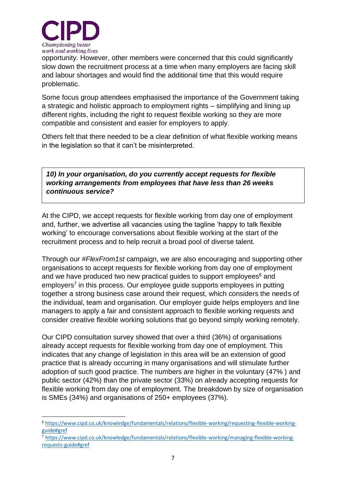

opportunity. However, other members were concerned that this could significantly slow down the recruitment process at a time when many employers are facing skill and labour shortages and would find the additional time that this would require problematic.

Some focus group attendees emphasised the importance of the Government taking a strategic and holistic approach to employment rights – simplifying and lining up different rights, including the right to request flexible working so they are more compatible and consistent and easier for employers to apply.

Others felt that there needed to be a clear definition of what flexible working means in the legislation so that it can't be misinterpreted.

*10) In your organisation, do you currently accept requests for flexible working arrangements from employees that have less than 26 weeks continuous service?* 

At the CIPD, we accept requests for flexible working from day one of employment and, further, we advertise all vacancies using the tagline 'happy to talk flexible working' to encourage conversations about flexible working at the start of the recruitment process and to help recruit a broad pool of diverse talent.

Through our *#FlexFrom1st* campaign, we are also encouraging and supporting other organisations to accept requests for flexible working from day one of employment and we have produced two new practical guides to support employees<sup>6</sup> and employers<sup>7</sup> in this process. Our employee guide supports employees in putting together a strong business case around their request, which considers the needs of the individual, team and organisation. Our employer guide helps employers and line managers to apply a fair and consistent approach to flexible working requests and consider creative flexible working solutions that go beyond simply working remotely.

Our CIPD consultation survey showed that over a third (36%) of organisations already accept requests for flexible working from day one of employment. This indicates that any change of legislation in this area will be an extension of good practice that is already occurring in many organisations and will stimulate further adoption of such good practice. The numbers are higher in the voluntary (47% ) and public sector (42%) than the private sector (33%) on already accepting requests for flexible working from day one of employment. The breakdown by size of organisation is SMEs (34%) and organisations of 250+ employees (37%).

<sup>6</sup> [https://www.cipd.co.uk/knowledge/fundamentals/relations/flexible-working/requesting-flexible-working](https://www.cipd.co.uk/knowledge/fundamentals/relations/flexible-working/requesting-flexible-working-guide#gref)[guide#gref](https://www.cipd.co.uk/knowledge/fundamentals/relations/flexible-working/requesting-flexible-working-guide#gref)

<sup>7</sup> [https://www.cipd.co.uk/knowledge/fundamentals/relations/flexible-working/managing-flexible-working](https://www.cipd.co.uk/knowledge/fundamentals/relations/flexible-working/managing-flexible-working-requests-guide#gref)[requests-guide#gref](https://www.cipd.co.uk/knowledge/fundamentals/relations/flexible-working/managing-flexible-working-requests-guide#gref)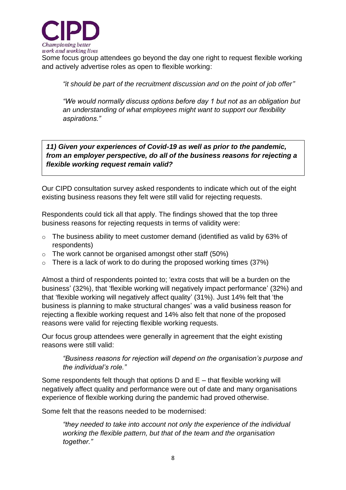

Some focus group attendees go beyond the day one right to request flexible working and actively advertise roles as open to flexible working:

*"it should be part of the recruitment discussion and on the point of job offer"*

*"We would normally discuss options before day 1 but not as an obligation but an understanding of what employees might want to support our flexibility aspirations."*

*11) Given your experiences of Covid-19 as well as prior to the pandemic, from an employer perspective, do all of the business reasons for rejecting a flexible working request remain valid?* 

Our CIPD consultation survey asked respondents to indicate which out of the eight existing business reasons they felt were still valid for rejecting requests.

Respondents could tick all that apply. The findings showed that the top three business reasons for rejecting requests in terms of validity were:

- o The business ability to meet customer demand (identified as valid by 63% of respondents)
- $\circ$  The work cannot be organised amongst other staff (50%)
- $\circ$  There is a lack of work to do during the proposed working times (37%)

Almost a third of respondents pointed to; 'extra costs that will be a burden on the business' (32%), that 'flexible working will negatively impact performance' (32%) and that 'flexible working will negatively affect quality' (31%). Just 14% felt that 'the business is planning to make structural changes' was a valid business reason for rejecting a flexible working request and 14% also felt that none of the proposed reasons were valid for rejecting flexible working requests.

Our focus group attendees were generally in agreement that the eight existing reasons were still valid:

*"Business reasons for rejection will depend on the organisation's purpose and the individual's role."*

Some respondents felt though that options D and E – that flexible working will negatively affect quality and performance were out of date and many organisations experience of flexible working during the pandemic had proved otherwise.

Some felt that the reasons needed to be modernised:

*"they needed to take into account not only the experience of the individual working the flexible pattern, but that of the team and the organisation together."*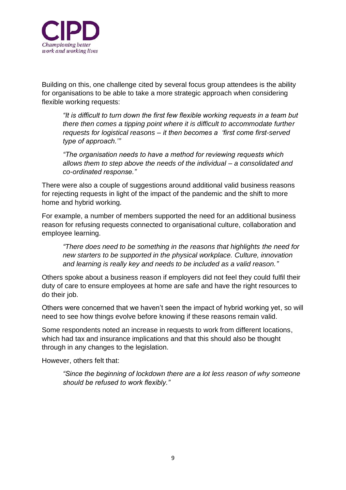

Building on this, one challenge cited by several focus group attendees is the ability for organisations to be able to take a more strategic approach when considering flexible working requests:

*"It is difficult to turn down the first few flexible working requests in a team but there then comes a tipping point where it is difficult to accommodate further requests for logistical reasons – it then becomes a 'first come first-served type of approach.'"*

*"The organisation needs to have a method for reviewing requests which allows them to step above the needs of the individual – a consolidated and co-ordinated response."* 

There were also a couple of suggestions around additional valid business reasons for rejecting requests in light of the impact of the pandemic and the shift to more home and hybrid working.

For example, a number of members supported the need for an additional business reason for refusing requests connected to organisational culture, collaboration and employee learning.

*"There does need to be something in the reasons that highlights the need for new starters to be supported in the physical workplace. Culture, innovation and learning is really key and needs to be included as a valid reason."*

Others spoke about a business reason if employers did not feel they could fulfil their duty of care to ensure employees at home are safe and have the right resources to do their job.

Others were concerned that we haven't seen the impact of hybrid working yet, so will need to see how things evolve before knowing if these reasons remain valid.

Some respondents noted an increase in requests to work from different locations, which had tax and insurance implications and that this should also be thought through in any changes to the legislation.

However, others felt that:

*"Since the beginning of lockdown there are a lot less reason of why someone should be refused to work flexibly."*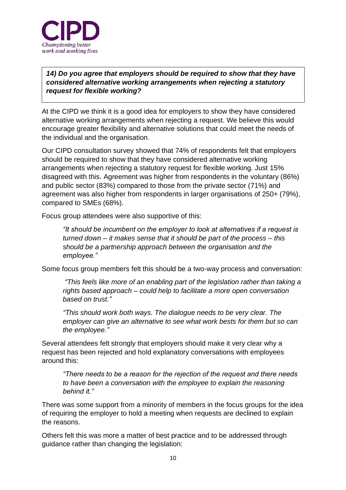

*14) Do you agree that employers should be required to show that they have considered alternative working arrangements when rejecting a statutory request for flexible working?* 

At the CIPD we think it is a good idea for employers to show they have considered alternative working arrangements when rejecting a request. We believe this would encourage greater flexibility and alternative solutions that could meet the needs of the individual and the organisation.

Our CIPD consultation survey showed that 74% of respondents felt that employers should be required to show that they have considered alternative working arrangements when rejecting a statutory request for flexible working. Just 15% disagreed with this. Agreement was higher from respondents in the voluntary (86%) and public sector (83%) compared to those from the private sector (71%) and agreement was also higher from respondents in larger organisations of 250+ (79%), compared to SMEs (68%).

Focus group attendees were also supportive of this:

*"It should be incumbent on the employer to look at alternatives if a request is turned down – it makes sense that it should be part of the process – this should be a partnership approach between the organisation and the employee."* 

Some focus group members felt this should be a two-way process and conversation:

*"This feels like more of an enabling part of the legislation rather than taking a rights based approach – could help to facilitate a more open conversation based on trust."*

*"This should work both ways. The dialogue needs to be very clear. The employer can give an alternative to see what work bests for them but so can the employee."*

Several attendees felt strongly that employers should make it very clear why a request has been rejected and hold explanatory conversations with employees around this:

*"There needs to be a reason for the rejection of the request and there needs to have been a conversation with the employee to explain the reasoning behind it."*

There was some support from a minority of members in the focus groups for the idea of requiring the employer to hold a meeting when requests are declined to explain the reasons.

Others felt this was more a matter of best practice and to be addressed through guidance rather than changing the legislation: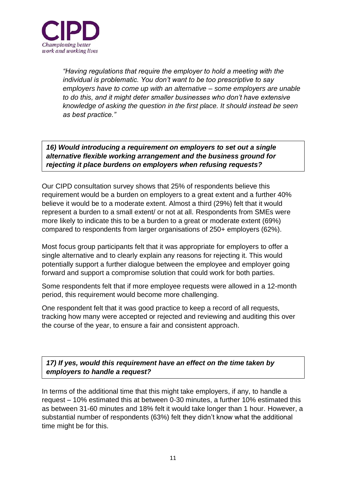

*"Having regulations that require the employer to hold a meeting with the individual is problematic. You don't want to be too prescriptive to say employers have to come up with an alternative – some employers are unable to do this, and it might deter smaller businesses who don't have extensive knowledge of asking the question in the first place. It should instead be seen as best practice."*

*16) Would introducing a requirement on employers to set out a single alternative flexible working arrangement and the business ground for rejecting it place burdens on employers when refusing requests?* 

Our CIPD consultation survey shows that 25% of respondents believe this requirement would be a burden on employers to a great extent and a further 40% believe it would be to a moderate extent. Almost a third (29%) felt that it would represent a burden to a small extent/ or not at all. Respondents from SMEs were more likely to indicate this to be a burden to a great or moderate extent (69%) compared to respondents from larger organisations of 250+ employers (62%).

Most focus group participants felt that it was appropriate for employers to offer a single alternative and to clearly explain any reasons for rejecting it. This would potentially support a further dialogue between the employee and employer going forward and support a compromise solution that could work for both parties.

Some respondents felt that if more employee requests were allowed in a 12-month period, this requirement would become more challenging.

One respondent felt that it was good practice to keep a record of all requests, tracking how many were accepted or rejected and reviewing and auditing this over the course of the year, to ensure a fair and consistent approach.

*17) If yes, would this requirement have an effect on the time taken by employers to handle a request?* 

In terms of the additional time that this might take employers, if any, to handle a request – 10% estimated this at between 0-30 minutes, a further 10% estimated this as between 31-60 minutes and 18% felt it would take longer than 1 hour. However, a substantial number of respondents (63%) felt they didn't know what the additional time might be for this.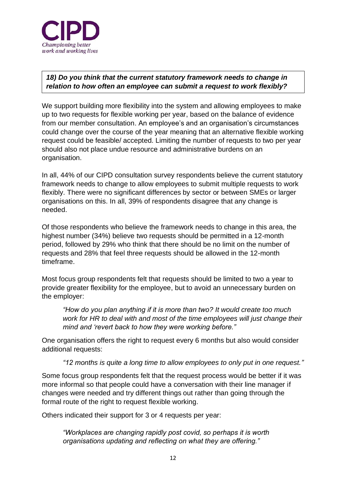

## *18) Do you think that the current statutory framework needs to change in relation to how often an employee can submit a request to work flexibly?*

We support building more flexibility into the system and allowing employees to make up to two requests for flexible working per year, based on the balance of evidence from our member consultation. An employee's and an organisation's circumstances could change over the course of the year meaning that an alternative flexible working request could be feasible/ accepted. Limiting the number of requests to two per year should also not place undue resource and administrative burdens on an organisation.

In all, 44% of our CIPD consultation survey respondents believe the current statutory framework needs to change to allow employees to submit multiple requests to work flexibly. There were no significant differences by sector or between SMEs or larger organisations on this. In all, 39% of respondents disagree that any change is needed.

Of those respondents who believe the framework needs to change in this area, the highest number (34%) believe two requests should be permitted in a 12-month period, followed by 29% who think that there should be no limit on the number of requests and 28% that feel three requests should be allowed in the 12-month timeframe.

Most focus group respondents felt that requests should be limited to two a year to provide greater flexibility for the employee, but to avoid an unnecessary burden on the employer:

*"How do you plan anything if it is more than two? It would create too much work for HR to deal with and most of the time employees will just change their mind and 'revert back to how they were working before."*

One organisation offers the right to request every 6 months but also would consider additional requests:

*"12 months is quite a long time to allow employees to only put in one request."*

Some focus group respondents felt that the request process would be better if it was more informal so that people could have a conversation with their line manager if changes were needed and try different things out rather than going through the formal route of the right to request flexible working.

Others indicated their support for 3 or 4 requests per year:

*"Workplaces are changing rapidly post covid, so perhaps it is worth organisations updating and reflecting on what they are offering."*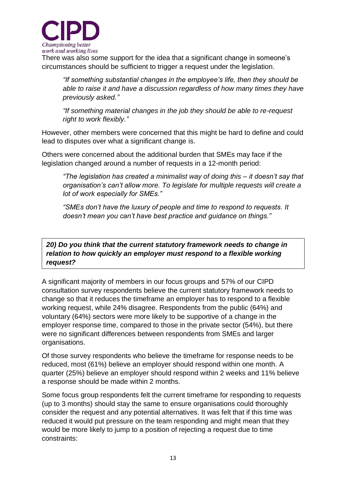

There was also some support for the idea that a significant change in someone's circumstances should be sufficient to trigger a request under the legislation.

*"If something substantial changes in the employee's life, then they should be able to raise it and have a discussion regardless of how many times they have previously asked."*

*"If something material changes in the job they should be able to re-request right to work flexibly."*

However, other members were concerned that this might be hard to define and could lead to disputes over what a significant change is.

Others were concerned about the additional burden that SMEs may face if the legislation changed around a number of requests in a 12-month period:

*"The legislation has created a minimalist way of doing this – it doesn't say that organisation's can't allow more. To legislate for multiple requests will create a lot of work especially for SMEs."*

*"SMEs don't have the luxury of people and time to respond to requests. It doesn't mean you can't have best practice and guidance on things."*

*20) Do you think that the current statutory framework needs to change in relation to how quickly an employer must respond to a flexible working request?* 

A significant majority of members in our focus groups and 57% of our CIPD consultation survey respondents believe the current statutory framework needs to change so that it reduces the timeframe an employer has to respond to a flexible working request, while 24% disagree. Respondents from the public (64%) and voluntary (64%) sectors were more likely to be supportive of a change in the employer response time, compared to those in the private sector (54%), but there were no significant differences between respondents from SMEs and larger organisations.

Of those survey respondents who believe the timeframe for response needs to be reduced, most (61%) believe an employer should respond within one month. A quarter (25%) believe an employer should respond within 2 weeks and 11% believe a response should be made within 2 months.

Some focus group respondents felt the current timeframe for responding to requests (up to 3 months) should stay the same to ensure organisations could thoroughly consider the request and any potential alternatives. It was felt that if this time was reduced it would put pressure on the team responding and might mean that they would be more likely to jump to a position of rejecting a request due to time constraints: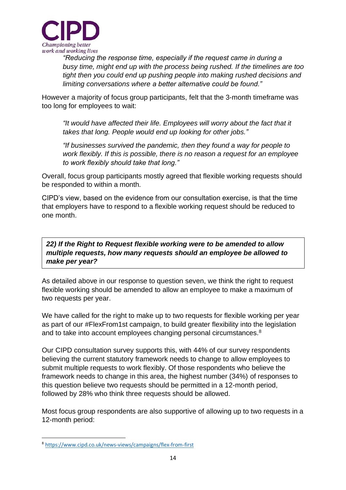

*"Reducing the response time, especially if the request came in during a busy time, might end up with the process being rushed. If the timelines are too tight then you could end up pushing people into making rushed decisions and limiting conversations where a better alternative could be found."*

However a majority of focus group participants, felt that the 3-month timeframe was too long for employees to wait:

*"It would have affected their life. Employees will worry about the fact that it takes that long. People would end up looking for other jobs."*

*"If businesses survived the pandemic, then they found a way for people to work flexibly. If this is possible, there is no reason a request for an employee to work flexibly should take that long."*

Overall, focus group participants mostly agreed that flexible working requests should be responded to within a month.

CIPD's view, based on the evidence from our consultation exercise, is that the time that employers have to respond to a flexible working request should be reduced to one month.

*22) If the Right to Request flexible working were to be amended to allow multiple requests, how many requests should an employee be allowed to make per year?* 

As detailed above in our response to question seven, we think the right to request flexible working should be amended to allow an employee to make a maximum of two requests per year.

We have called for the right to make up to two requests for flexible working per year as part of our #FlexFrom1st campaign, to build greater flexibility into the legislation and to take into account employees changing personal circumstances.<sup>8</sup>

Our CIPD consultation survey supports this, with 44% of our survey respondents believing the current statutory framework needs to change to allow employees to submit multiple requests to work flexibly. Of those respondents who believe the framework needs to change in this area, the highest number (34%) of responses to this question believe two requests should be permitted in a 12-month period, followed by 28% who think three requests should be allowed.

Most focus group respondents are also supportive of allowing up to two requests in a 12-month period:

<sup>8</sup> <https://www.cipd.co.uk/news-views/campaigns/flex-from-first>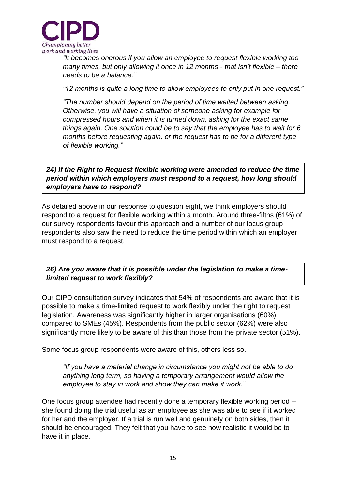

*"It becomes onerous if you allow an employee to request flexible working too many times, but only allowing it once in 12 months - that isn't flexible – there needs to be a balance."*

*"12 months is quite a long time to allow employees to only put in one request."* 

*"The number should depend on the period of time waited between asking. Otherwise, you will have a situation of someone asking for example for compressed hours and when it is turned down, asking for the exact same things again. One solution could be to say that the employee has to wait for 6 months before requesting again, or the request has to be for a different type of flexible working."*

*24) If the Right to Request flexible working were amended to reduce the time period within which employers must respond to a request, how long should employers have to respond?* 

As detailed above in our response to question eight, we think employers should respond to a request for flexible working within a month. Around three-fifths (61%) of our survey respondents favour this approach and a number of our focus group respondents also saw the need to reduce the time period within which an employer must respond to a request.

*26) Are you aware that it is possible under the legislation to make a timelimited request to work flexibly?* 

Our CIPD consultation survey indicates that 54% of respondents are aware that it is possible to make a time-limited request to work flexibly under the right to request legislation. Awareness was significantly higher in larger organisations (60%) compared to SMEs (45%). Respondents from the public sector (62%) were also significantly more likely to be aware of this than those from the private sector (51%).

Some focus group respondents were aware of this, others less so.

*"If you have a material change in circumstance you might not be able to do anything long term, so having a temporary arrangement would allow the employee to stay in work and show they can make it work."*

One focus group attendee had recently done a temporary flexible working period – she found doing the trial useful as an employee as she was able to see if it worked for her and the employer. If a trial is run well and genuinely on both sides, then it should be encouraged. They felt that you have to see how realistic it would be to have it in place.